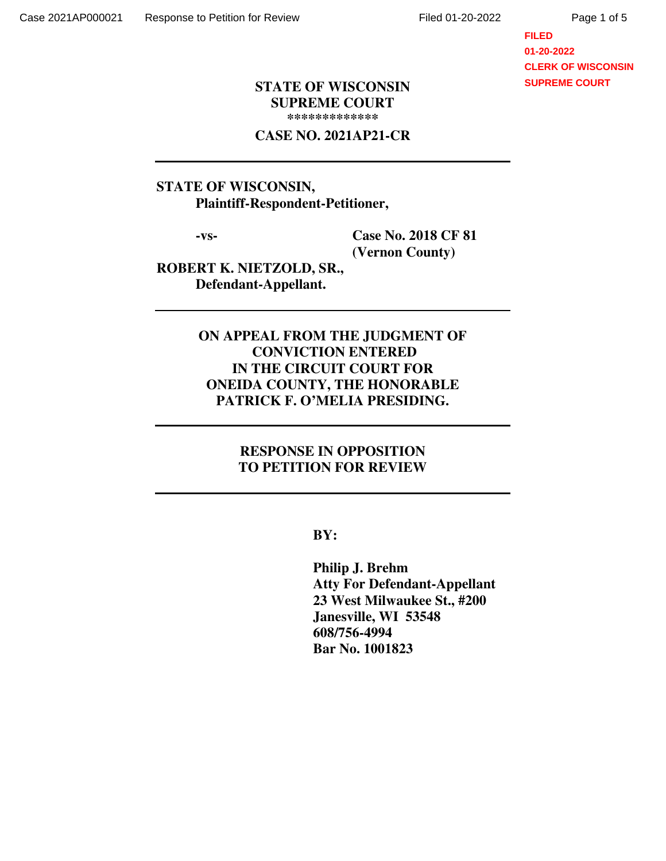## **FILED 01-20-2022 CLERK OF WISCONSIN SUPREME COURT**

#### **STATE OF WISCONSIN SUPREME COURT \*\*\*\*\*\*\*\*\*\*\*\*\***

#### **CASE NO. 2021AP21-CR**

## **STATE OF WISCONSIN, Plaintiff-Respondent-Petitioner,**

 **-vs- Case No. 2018 CF 81 (Vernon County)** 

**ROBERT K. NIETZOLD, SR., Defendant-Appellant.** 

# **ON APPEAL FROM THE JUDGMENT OF CONVICTION ENTERED IN THE CIRCUIT COURT FOR ONEIDA COUNTY, THE HONORABLE PATRICK F. O'MELIA PRESIDING.**

## **RESPONSE IN OPPOSITION TO PETITION FOR REVIEW**

 **BY:** 

 **Philip J. Brehm Atty For Defendant-Appellant 23 West Milwaukee St., #200 Janesville, WI 53548 608/756-4994 Bar No. 1001823**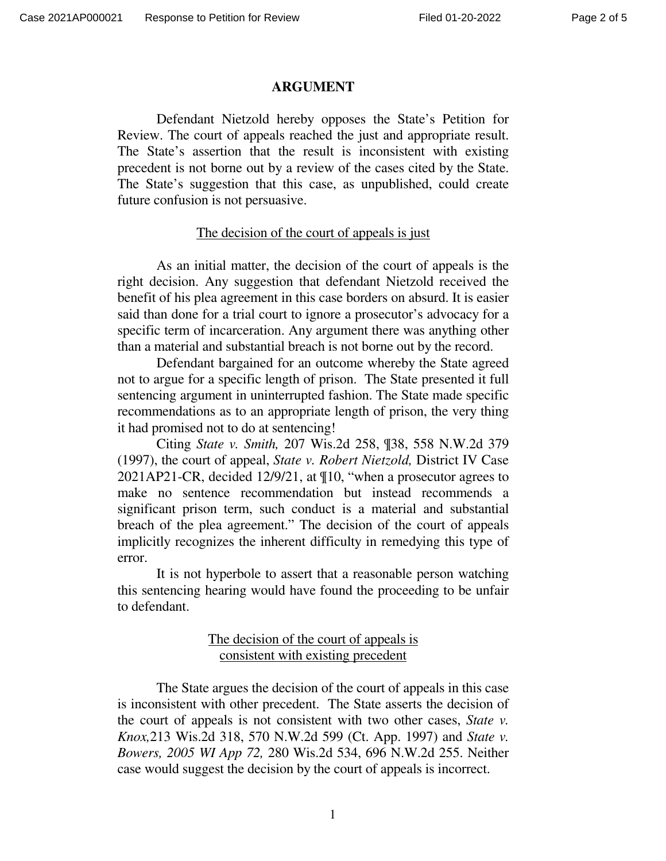#### **ARGUMENT**

 Defendant Nietzold hereby opposes the State's Petition for Review. The court of appeals reached the just and appropriate result. The State's assertion that the result is inconsistent with existing precedent is not borne out by a review of the cases cited by the State. The State's suggestion that this case, as unpublished, could create future confusion is not persuasive.

#### The decision of the court of appeals is just

 As an initial matter, the decision of the court of appeals is the right decision. Any suggestion that defendant Nietzold received the benefit of his plea agreement in this case borders on absurd. It is easier said than done for a trial court to ignore a prosecutor's advocacy for a specific term of incarceration. Any argument there was anything other than a material and substantial breach is not borne out by the record.

Defendant bargained for an outcome whereby the State agreed not to argue for a specific length of prison. The State presented it full sentencing argument in uninterrupted fashion. The State made specific recommendations as to an appropriate length of prison, the very thing it had promised not to do at sentencing!

Citing *State v. Smith,* 207 Wis.2d 258, ¶38, 558 N.W.2d 379 (1997), the court of appeal, *State v. Robert Nietzold,* District IV Case 2021AP21-CR, decided 12/9/21, at ¶10, "when a prosecutor agrees to make no sentence recommendation but instead recommends a significant prison term, such conduct is a material and substantial breach of the plea agreement." The decision of the court of appeals implicitly recognizes the inherent difficulty in remedying this type of error.

It is not hyperbole to assert that a reasonable person watching this sentencing hearing would have found the proceeding to be unfair to defendant.

### The decision of the court of appeals is consistent with existing precedent

 The State argues the decision of the court of appeals in this case is inconsistent with other precedent. The State asserts the decision of the court of appeals is not consistent with two other cases, *State v. Knox,*213 Wis.2d 318, 570 N.W.2d 599 (Ct. App. 1997) and *State v. Bowers, 2005 WI App 72,* 280 Wis.2d 534, 696 N.W.2d 255. Neither case would suggest the decision by the court of appeals is incorrect.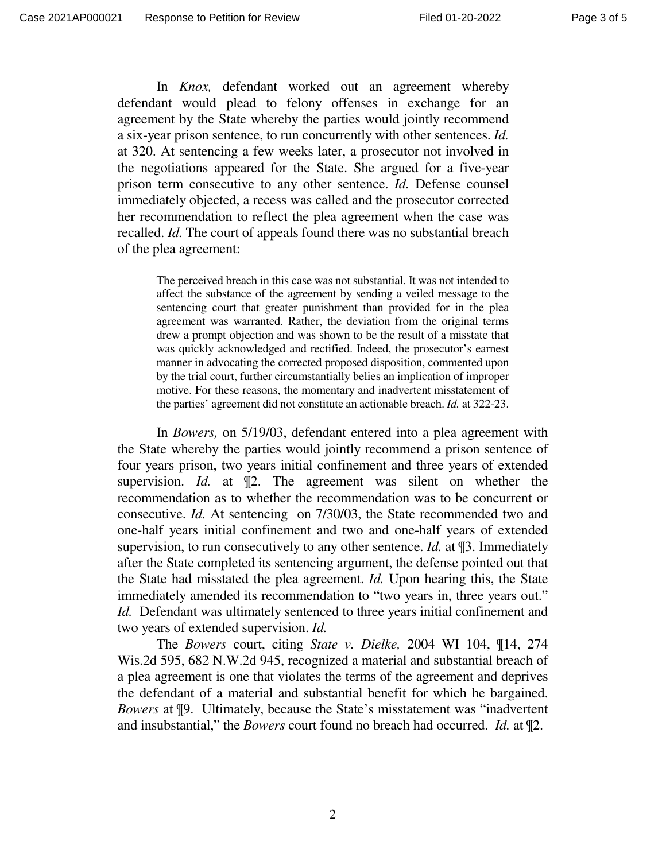In *Knox,* defendant worked out an agreement whereby defendant would plead to felony offenses in exchange for an agreement by the State whereby the parties would jointly recommend a six-year prison sentence, to run concurrently with other sentences. *Id.*  at 320. At sentencing a few weeks later, a prosecutor not involved in the negotiations appeared for the State. She argued for a five-year prison term consecutive to any other sentence. *Id.* Defense counsel immediately objected, a recess was called and the prosecutor corrected her recommendation to reflect the plea agreement when the case was recalled. *Id.* The court of appeals found there was no substantial breach of the plea agreement:

The perceived breach in this case was not substantial. It was not intended to affect the substance of the agreement by sending a veiled message to the sentencing court that greater punishment than provided for in the plea agreement was warranted. Rather, the deviation from the original terms drew a prompt objection and was shown to be the result of a misstate that was quickly acknowledged and rectified. Indeed, the prosecutor's earnest manner in advocating the corrected proposed disposition, commented upon by the trial court, further circumstantially belies an implication of improper motive. For these reasons, the momentary and inadvertent misstatement of the parties' agreement did not constitute an actionable breach. *Id.* at 322-23.

In *Bowers,* on 5/19/03, defendant entered into a plea agreement with the State whereby the parties would jointly recommend a prison sentence of four years prison, two years initial confinement and three years of extended supervision. *Id.* at ¶2. The agreement was silent on whether the recommendation as to whether the recommendation was to be concurrent or consecutive. *Id.* At sentencing on 7/30/03, the State recommended two and one-half years initial confinement and two and one-half years of extended supervision, to run consecutively to any other sentence. *Id.* at ¶3. Immediately after the State completed its sentencing argument, the defense pointed out that the State had misstated the plea agreement. *Id.* Upon hearing this, the State immediately amended its recommendation to "two years in, three years out." *Id.* Defendant was ultimately sentenced to three years initial confinement and two years of extended supervision. *Id.* 

The *Bowers* court, citing *State v. Dielke,* 2004 WI 104, ¶14, 274 Wis.2d 595, 682 N.W.2d 945, recognized a material and substantial breach of a plea agreement is one that violates the terms of the agreement and deprives the defendant of a material and substantial benefit for which he bargained. *Bowers* at ¶9. Ultimately, because the State's misstatement was "inadvertent and insubstantial," the *Bowers* court found no breach had occurred. *Id.* at ¶2.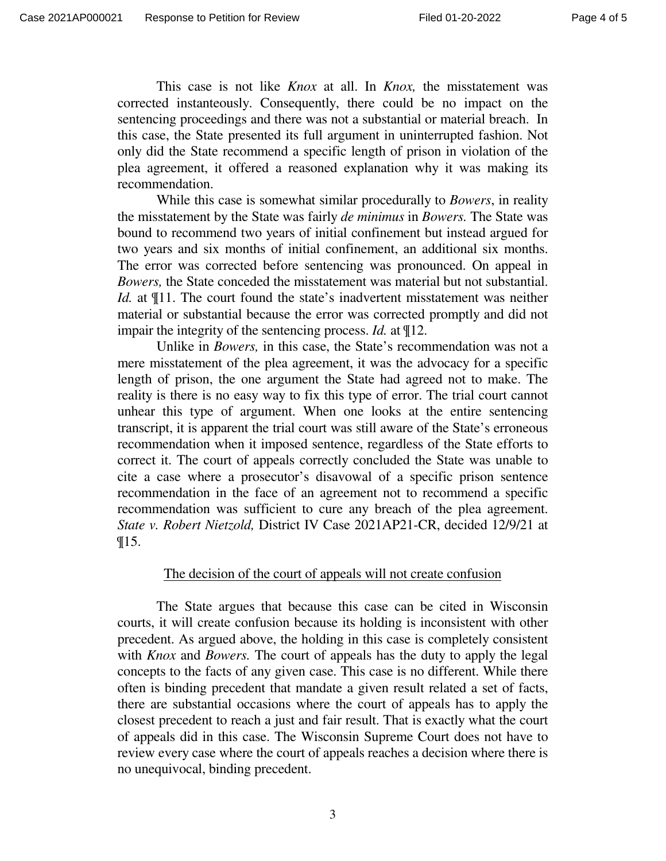This case is not like *Knox* at all. In *Knox,* the misstatement was corrected instanteously. Consequently, there could be no impact on the sentencing proceedings and there was not a substantial or material breach. In this case, the State presented its full argument in uninterrupted fashion. Not only did the State recommend a specific length of prison in violation of the plea agreement, it offered a reasoned explanation why it was making its recommendation.

While this case is somewhat similar procedurally to *Bowers*, in reality the misstatement by the State was fairly *de minimus* in *Bowers.* The State was bound to recommend two years of initial confinement but instead argued for two years and six months of initial confinement, an additional six months. The error was corrected before sentencing was pronounced. On appeal in *Bowers,* the State conceded the misstatement was material but not substantial. *Id.* at  $\P$ 11. The court found the state's inadvertent misstatement was neither material or substantial because the error was corrected promptly and did not impair the integrity of the sentencing process. *Id.* at ¶12.

Unlike in *Bowers,* in this case, the State's recommendation was not a mere misstatement of the plea agreement, it was the advocacy for a specific length of prison, the one argument the State had agreed not to make. The reality is there is no easy way to fix this type of error. The trial court cannot unhear this type of argument. When one looks at the entire sentencing transcript, it is apparent the trial court was still aware of the State's erroneous recommendation when it imposed sentence, regardless of the State efforts to correct it. The court of appeals correctly concluded the State was unable to cite a case where a prosecutor's disavowal of a specific prison sentence recommendation in the face of an agreement not to recommend a specific recommendation was sufficient to cure any breach of the plea agreement. *State v. Robert Nietzold,* District IV Case 2021AP21-CR, decided 12/9/21 at ¶15.

### The decision of the court of appeals will not create confusion

The State argues that because this case can be cited in Wisconsin courts, it will create confusion because its holding is inconsistent with other precedent. As argued above, the holding in this case is completely consistent with *Knox* and *Bowers.* The court of appeals has the duty to apply the legal concepts to the facts of any given case. This case is no different. While there often is binding precedent that mandate a given result related a set of facts, there are substantial occasions where the court of appeals has to apply the closest precedent to reach a just and fair result. That is exactly what the court of appeals did in this case. The Wisconsin Supreme Court does not have to review every case where the court of appeals reaches a decision where there is no unequivocal, binding precedent.